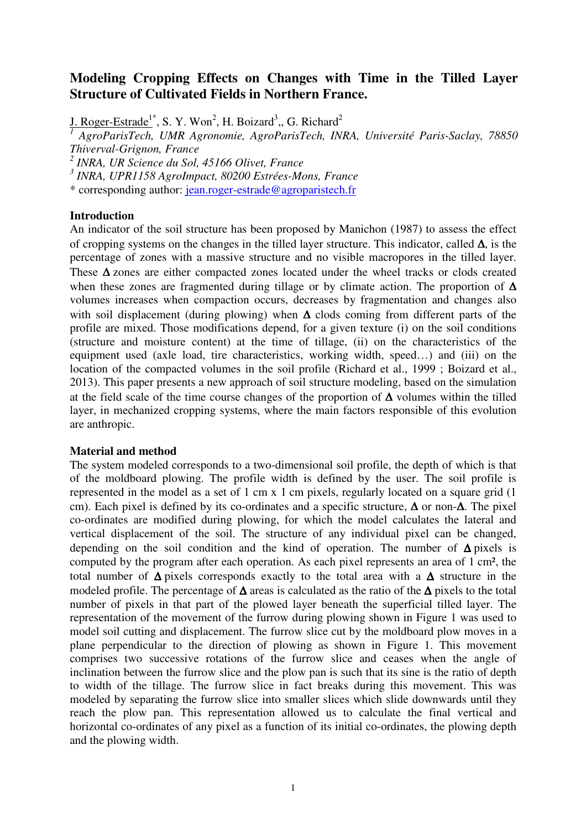# **Modeling Cropping Effects on Changes with Time in the Tilled Layer Structure of Cultivated Fields in Northern France.**

J. Roger-Estrade<sup>1\*</sup>, S. Y. Won<sup>2</sup>, H. Boizard<sup>3</sup>,, G. Richard<sup>2</sup>

*1 AgroParisTech, UMR Agronomie, AgroParisTech, INRA, Université Paris-Saclay, 78850 Thiverval-Grignon, France* 

*2 INRA, UR Science du Sol, 45166 Olivet, France* 

*3 INRA, UPR1158 AgroImpact, 80200 Estrées-Mons, France* 

\* corresponding author: jean.roger-estrade@agroparistech.fr

## **Introduction**

An indicator of the soil structure has been proposed by Manichon (1987) to assess the effect of cropping systems on the changes in the tilled layer structure. This indicator, called ∆, is the percentage of zones with a massive structure and no visible macropores in the tilled layer. These ∆ zones are either compacted zones located under the wheel tracks or clods created when these zones are fragmented during tillage or by climate action. The proportion of ∆ volumes increases when compaction occurs, decreases by fragmentation and changes also with soil displacement (during plowing) when  $\Delta$  clods coming from different parts of the profile are mixed. Those modifications depend, for a given texture (i) on the soil conditions (structure and moisture content) at the time of tillage, (ii) on the characteristics of the equipment used (axle load, tire characteristics, working width, speed…) and (iii) on the location of the compacted volumes in the soil profile (Richard et al., 1999 ; Boizard et al., 2013). This paper presents a new approach of soil structure modeling, based on the simulation at the field scale of the time course changes of the proportion of ∆ volumes within the tilled layer, in mechanized cropping systems, where the main factors responsible of this evolution are anthropic.

## **Material and method**

The system modeled corresponds to a two-dimensional soil profile, the depth of which is that of the moldboard plowing. The profile width is defined by the user. The soil profile is represented in the model as a set of 1 cm x 1 cm pixels, regularly located on a square grid (1 cm). Each pixel is defined by its co-ordinates and a specific structure, ∆ or non-∆. The pixel co-ordinates are modified during plowing, for which the model calculates the lateral and vertical displacement of the soil. The structure of any individual pixel can be changed, depending on the soil condition and the kind of operation. The number of ∆ pixels is computed by the program after each operation. As each pixel represents an area of 1 cm², the total number of ∆ pixels corresponds exactly to the total area with a ∆ structure in the modeled profile. The percentage of ∆ areas is calculated as the ratio of the ∆ pixels to the total number of pixels in that part of the plowed layer beneath the superficial tilled layer. The representation of the movement of the furrow during plowing shown in Figure 1 was used to model soil cutting and displacement. The furrow slice cut by the moldboard plow moves in a plane perpendicular to the direction of plowing as shown in Figure 1. This movement comprises two successive rotations of the furrow slice and ceases when the angle of inclination between the furrow slice and the plow pan is such that its sine is the ratio of depth to width of the tillage. The furrow slice in fact breaks during this movement. This was modeled by separating the furrow slice into smaller slices which slide downwards until they reach the plow pan. This representation allowed us to calculate the final vertical and horizontal co-ordinates of any pixel as a function of its initial co-ordinates, the plowing depth and the plowing width.